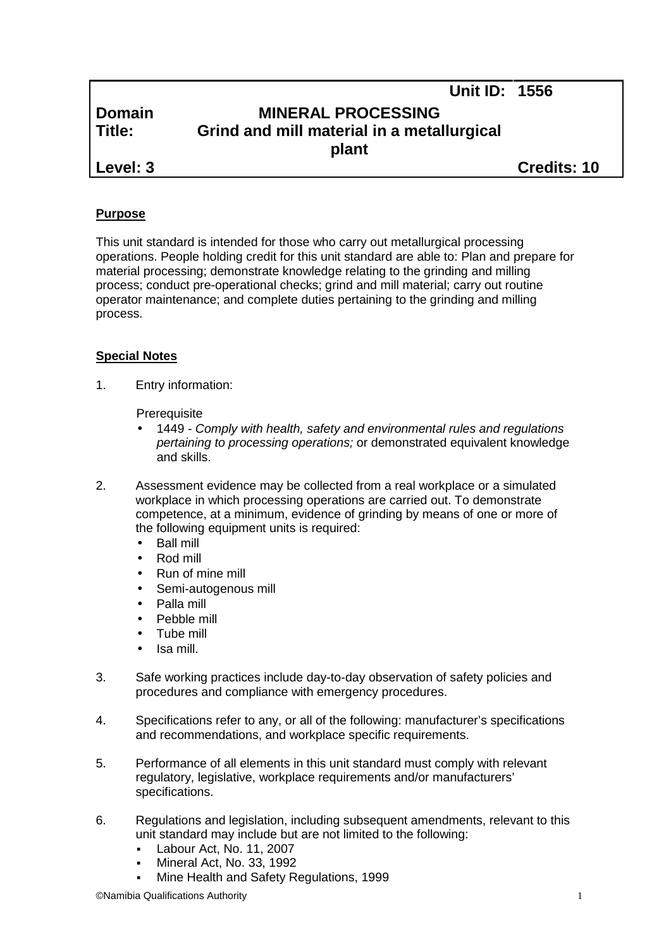|               | <b>Unit ID: 1556</b>                       |  |
|---------------|--------------------------------------------|--|
| <b>Domain</b> | <b>MINERAL PROCESSING</b>                  |  |
| Title:        | Grind and mill material in a metallurgical |  |
|               | plant                                      |  |
| Level: 3      | <b>Credits: 10</b>                         |  |

## **Purpose**

This unit standard is intended for those who carry out metallurgical processing operations. People holding credit for this unit standard are able to: Plan and prepare for material processing; demonstrate knowledge relating to the grinding and milling process; conduct pre-operational checks; grind and mill material; carry out routine operator maintenance; and complete duties pertaining to the grinding and milling process.

## **Special Notes**

1. Entry information:

**Prerequisite** 

- 1449 *- Comply with health, safety and environmental rules and regulations pertaining to processing operations;* or demonstrated equivalent knowledge and skills.
- 2. Assessment evidence may be collected from a real workplace or a simulated workplace in which processing operations are carried out. To demonstrate competence, at a minimum, evidence of grinding by means of one or more of the following equipment units is required:
	- Ball mill
	- Rod mill
	- Run of mine mill
	- Semi-autogenous mill
	- Palla mill
	- Pebble mill
	- Tube mill
	- Isa mill.
- 3. Safe working practices include day-to-day observation of safety policies and procedures and compliance with emergency procedures.
- 4. Specifications refer to any, or all of the following: manufacturer's specifications and recommendations, and workplace specific requirements.
- 5. Performance of all elements in this unit standard must comply with relevant regulatory, legislative, workplace requirements and/or manufacturers' specifications.
- 6. Regulations and legislation, including subsequent amendments, relevant to this unit standard may include but are not limited to the following:
	- Labour Act, No. 11, 2007
	- Mineral Act, No. 33, 1992
	- Mine Health and Safety Regulations, 1999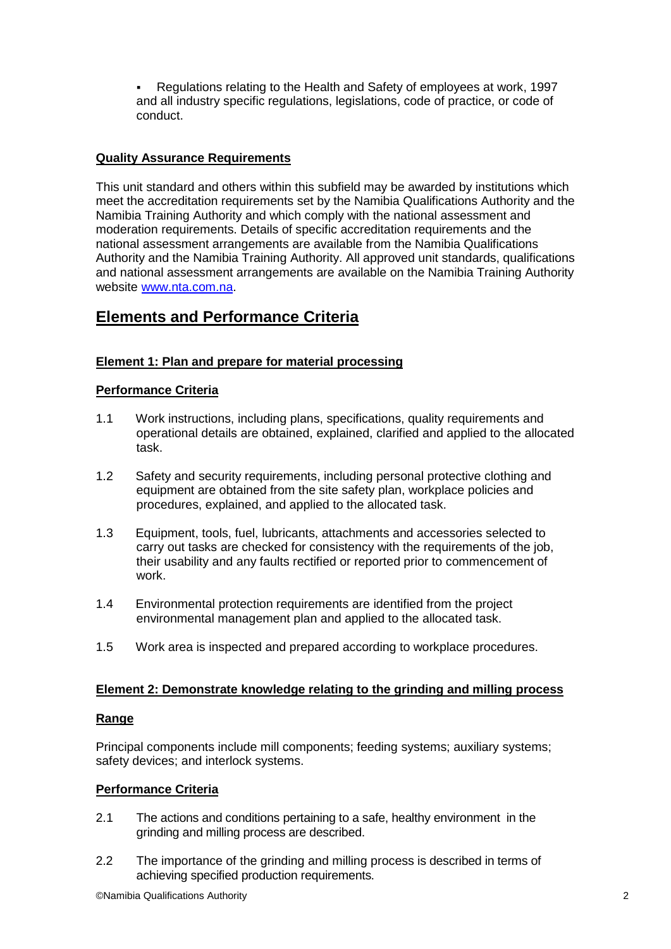Regulations relating to the Health and Safety of employees at work, 1997 and all industry specific regulations, legislations, code of practice, or code of conduct.

## **Quality Assurance Requirements**

This unit standard and others within this subfield may be awarded by institutions which meet the accreditation requirements set by the Namibia Qualifications Authority and the Namibia Training Authority and which comply with the national assessment and moderation requirements. Details of specific accreditation requirements and the national assessment arrangements are available from the Namibia Qualifications Authority and the Namibia Training Authority. All approved unit standards, qualifications and national assessment arrangements are available on the Namibia Training Authority website www.nta.com.na.

## **Elements and Performance Criteria**

## **Element 1: Plan and prepare for material processing**

## **Performance Criteria**

- 1.1 Work instructions, including plans, specifications, quality requirements and operational details are obtained, explained, clarified and applied to the allocated task.
- 1.2 Safety and security requirements, including personal protective clothing and equipment are obtained from the site safety plan, workplace policies and procedures, explained, and applied to the allocated task.
- 1.3 Equipment, tools, fuel, lubricants, attachments and accessories selected to carry out tasks are checked for consistency with the requirements of the job, their usability and any faults rectified or reported prior to commencement of work.
- 1.4 Environmental protection requirements are identified from the project environmental management plan and applied to the allocated task.
- 1.5 Work area is inspected and prepared according to workplace procedures.

## **Element 2: Demonstrate knowledge relating to the grinding and milling process**

## **Range**

Principal components include mill components; feeding systems; auxiliary systems; safety devices; and interlock systems.

## **Performance Criteria**

- 2.1 The actions and conditions pertaining to a safe, healthy environment in the grinding and milling process are described.
- 2.2 The importance of the grinding and milling process is described in terms of achieving specified production requirements.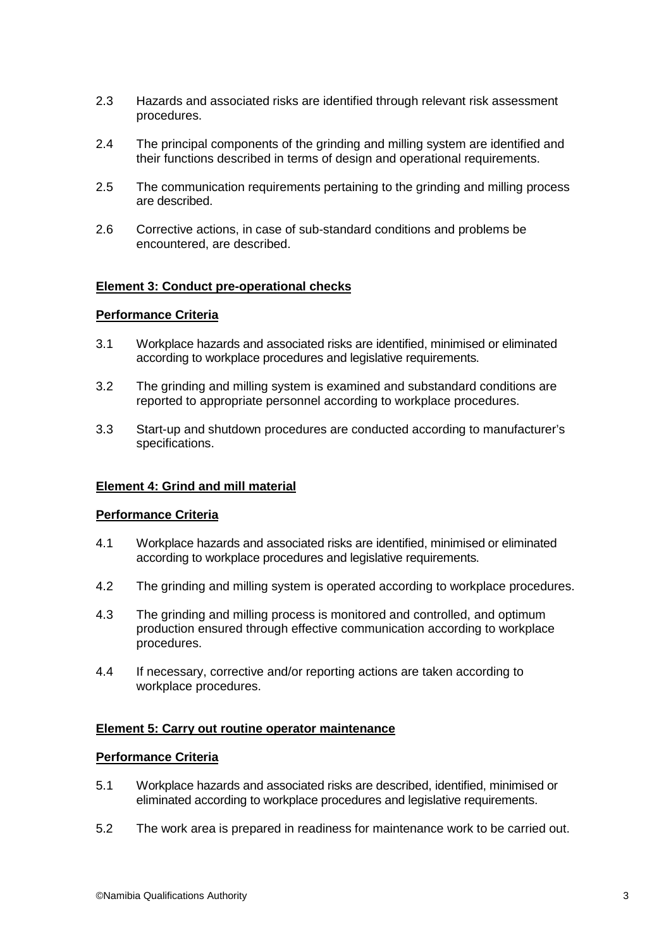- 2.3 Hazards and associated risks are identified through relevant risk assessment procedures.
- 2.4 The principal components of the grinding and milling system are identified and their functions described in terms of design and operational requirements.
- 2.5 The communication requirements pertaining to the grinding and milling process are described.
- 2.6 Corrective actions, in case of sub-standard conditions and problems be encountered, are described.

#### **Element 3: Conduct pre-operational checks**

#### **Performance Criteria**

- 3.1 Workplace hazards and associated risks are identified, minimised or eliminated according to workplace procedures and legislative requirements.
- 3.2 The grinding and milling system is examined and substandard conditions are reported to appropriate personnel according to workplace procedures.
- 3.3 Start-up and shutdown procedures are conducted according to manufacturer's specifications.

#### **Element 4: Grind and mill material**

#### **Performance Criteria**

- 4.1 Workplace hazards and associated risks are identified, minimised or eliminated according to workplace procedures and legislative requirements.
- 4.2 The grinding and milling system is operated according to workplace procedures.
- 4.3 The grinding and milling process is monitored and controlled, and optimum production ensured through effective communication according to workplace procedures.
- 4.4 If necessary, corrective and/or reporting actions are taken according to workplace procedures.

#### **Element 5: Carry out routine operator maintenance**

#### **Performance Criteria**

- 5.1 Workplace hazards and associated risks are described, identified, minimised or eliminated according to workplace procedures and legislative requirements.
- 5.2 The work area is prepared in readiness for maintenance work to be carried out.